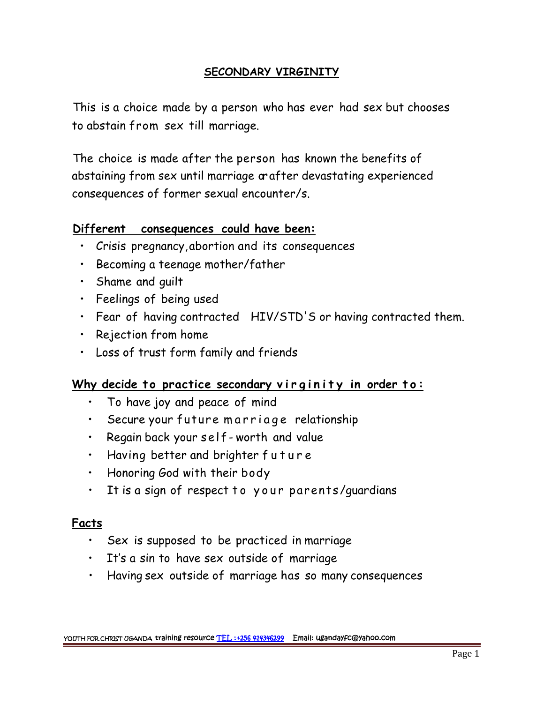### **SECONDARY VIRGINITY**

This is a choice made by a person who has ever had sex but chooses to abstain from sex till marriage.

The choice is made after the person has known the benefits of abstaining from sex until marriage orafter devastating experienced consequences of former sexual encounter/s.

## **Different consequences could have been:**

- Crisis pregnancy,abortion and its consequences
- Becoming a teenage mother/father
- Shame and guilt
- Feelings of being used
- 
- Rejection from home
- Loss of trust form family and friends

# • Fear of having contracted HIV/STD'S or having contracted them.<br>• Rejection from home<br>• Loss of trust form family and friends<br>**Why decide to practice secondary virginity in order to:**<br>• To have joy and peace of mind Loss of trust form family and friends<br>• Your decide to practice secondary virginity in order<br>• To have joy and peace of mind<br>• Secure your future marriage relationship<br>• Regain back your self-worth and value by decide to practice secondary virginity in a<br>• To have joy and peace of mind<br>• Secure your future marriage relationship<br>• Regain back your self-worth and value<br>• Having better and brighter future

- To have joy and peace of mind
- Secure your future marriage relationship<br>• Regain back your self-worth and value<br>• Having better and brighter future
- 
- 
- Honoring God with their body
- It is a sign of respect to your parents/quardians

### **Facts**

- Sex is supposed to be practiced in marriage
- It's a sin to have sex outside of marriage
- Having sex outside of marriage has so many consequences